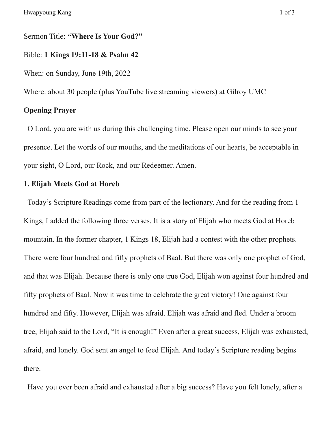Sermon Title: **"Where Is Your God?"**

# Bible: **1 Kings 19:11-18 & Psalm 42**

When: on Sunday, June 19th, 2022

Where: about 30 people (plus YouTube live streaming viewers) at Gilroy UMC

# **Opening Prayer**

O Lord, you are with us during this challenging time. Please open our minds to see your presence. Let the words of our mouths, and the meditations of our hearts, be acceptable in your sight, O Lord, our Rock, and our Redeemer. Amen.

# **1. Elijah Meets God at Horeb**

Today's Scripture Readings come from part of the lectionary. And for the reading from 1 Kings, I added the following three verses. It is a story of Elijah who meets God at Horeb mountain. In the former chapter, 1 Kings 18, Elijah had a contest with the other prophets. There were four hundred and fifty prophets of Baal. But there was only one prophet of God, and that was Elijah. Because there is only one true God, Elijah won against four hundred and fifty prophets of Baal. Now it was time to celebrate the great victory! One against four hundred and fifty. However, Elijah was afraid. Elijah was afraid and fled. Under a broom tree, Elijah said to the Lord, "It is enough!" Even after a great success, Elijah was exhausted, afraid, and lonely. God sent an angel to feed Elijah. And today's Scripture reading begins there.

Have you ever been afraid and exhausted after a big success? Have you felt lonely, after a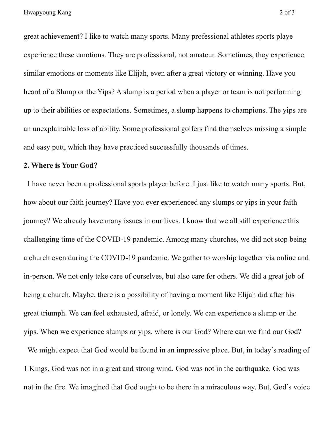great achievement? I like to watch many sports. Many professional athletes sports playe experience these emotions. They are professional, not amateur. Sometimes, they experience similar emotions or moments like Elijah, even after a great victory or winning. Have you heard of a Slump or the Yips? A slump is a period when a player or team is not performing up to their abilities or expectations. Sometimes, a slump happens to champions. The yips are an unexplainable loss of ability. Some professional golfers find themselves missing a simple and easy putt, which they have practiced successfully thousands of times.

#### **2. Where is Your God?**

I have never been a professional sports player before. I just like to watch many sports. But, how about our faith journey? Have you ever experienced any slumps or yips in your faith journey? We already have many issues in our lives. I know that we all still experience this challenging time of the COVID-19 pandemic. Among many churches, we did not stop being a church even during the COVID-19 pandemic. We gather to worship together via online and in-person. We not only take care of ourselves, but also care for others. We did a great job of being a church. Maybe, there is a possibility of having a moment like Elijah did after his great triumph. We can feel exhausted, afraid, or lonely. We can experience a slump or the yips. When we experience slumps or yips, where is our God? Where can we find our God?

We might expect that God would be found in an impressive place. But, in today's reading of 1 Kings, God was not in a great and strong wind. God was not in the earthquake. God was not in the fire. We imagined that God ought to be there in a miraculous way. But, God's voice